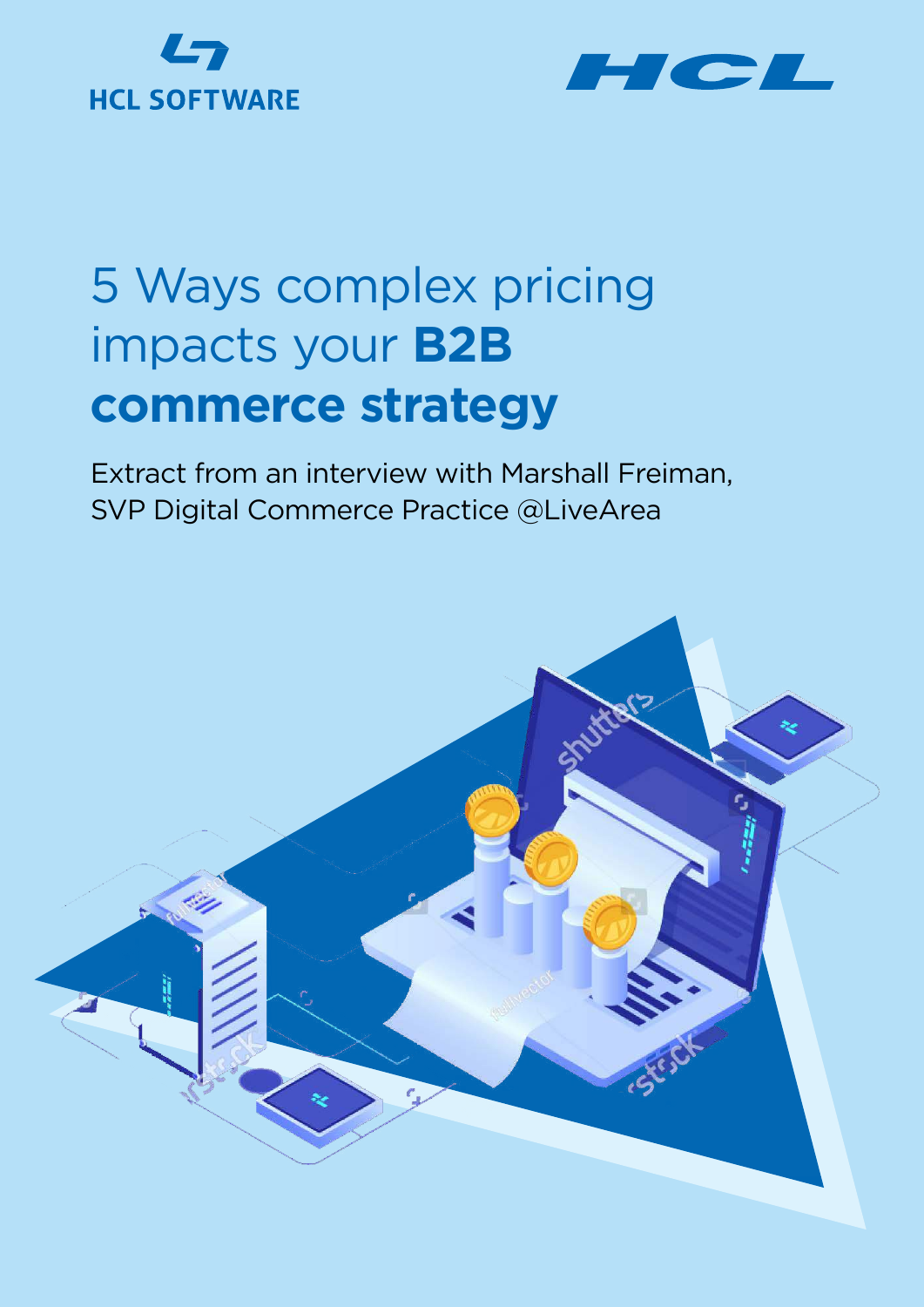# **HCL SOFTWARE**



## 5 Ways complex pricing impacts your **B2B commerce strategy**

Extract from an interview with Marshall Freiman, SVP Digital Commerce Practice @LiveArea

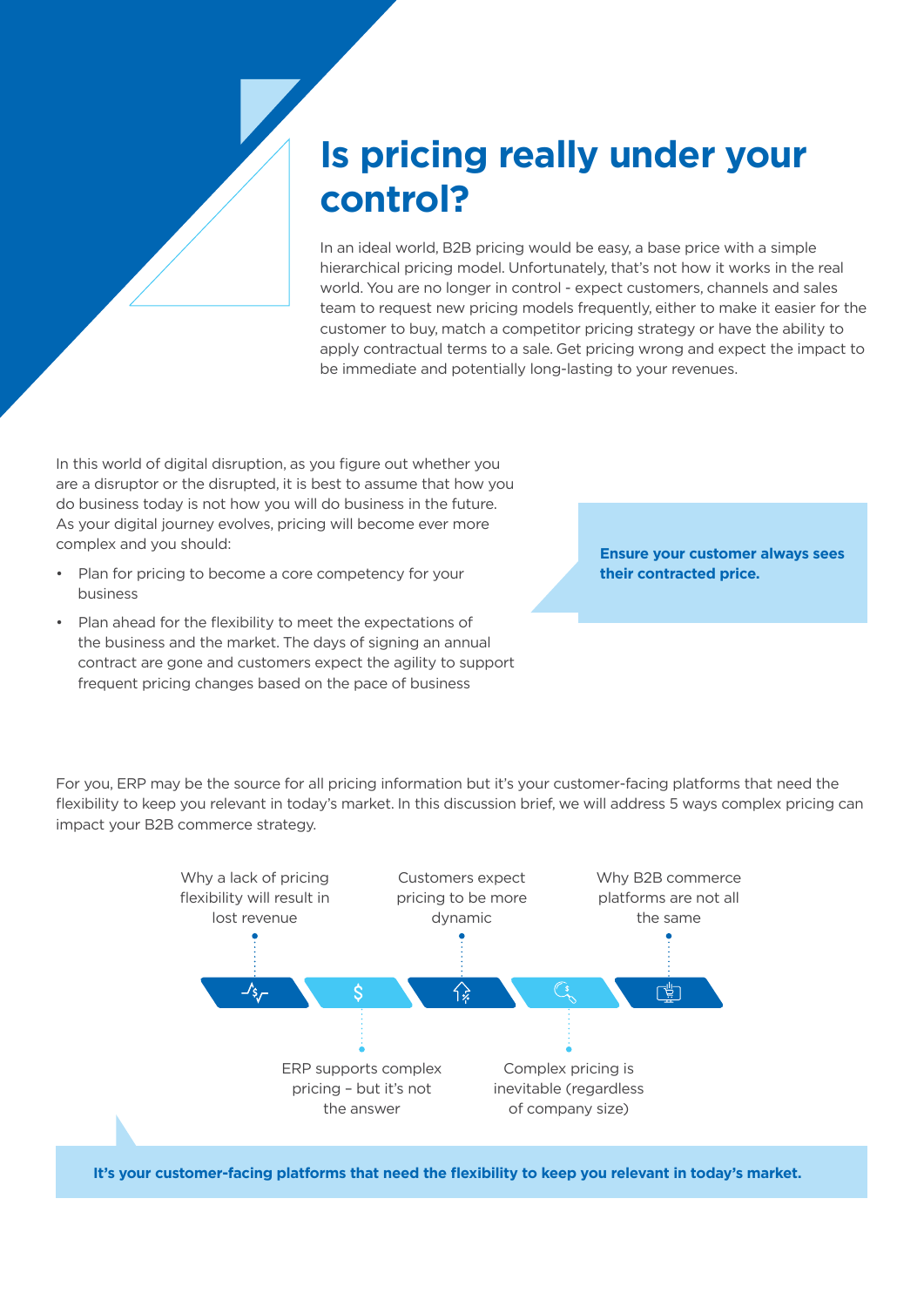## **Is pricing really under your control?**

In an ideal world, B2B pricing would be easy, a base price with a simple hierarchical pricing model. Unfortunately, that's not how it works in the real world. You are no longer in control - expect customers, channels and sales team to request new pricing models frequently, either to make it easier for the customer to buy, match a competitor pricing strategy or have the ability to apply contractual terms to a sale. Get pricing wrong and expect the impact to be immediate and potentially long-lasting to your revenues.

In this world of digital disruption, as you figure out whether you are a disruptor or the disrupted, it is best to assume that how you do business today is not how you will do business in the future. As your digital journey evolves, pricing will become ever more complex and you should:

- Plan for pricing to become a core competency for your business
- Plan ahead for the flexibility to meet the expectations of the business and the market. The days of signing an annual contract are gone and customers expect the agility to support frequent pricing changes based on the pace of business

**Ensure your customer always sees their contracted price.**

For you, ERP may be the source for all pricing information but it's your customer-facing platforms that need the flexibility to keep you relevant in today's market. In this discussion brief, we will address 5 ways complex pricing can impact your B2B commerce strategy.



**It's your customer-facing platforms that need the flexibility to keep you relevant in today's market.**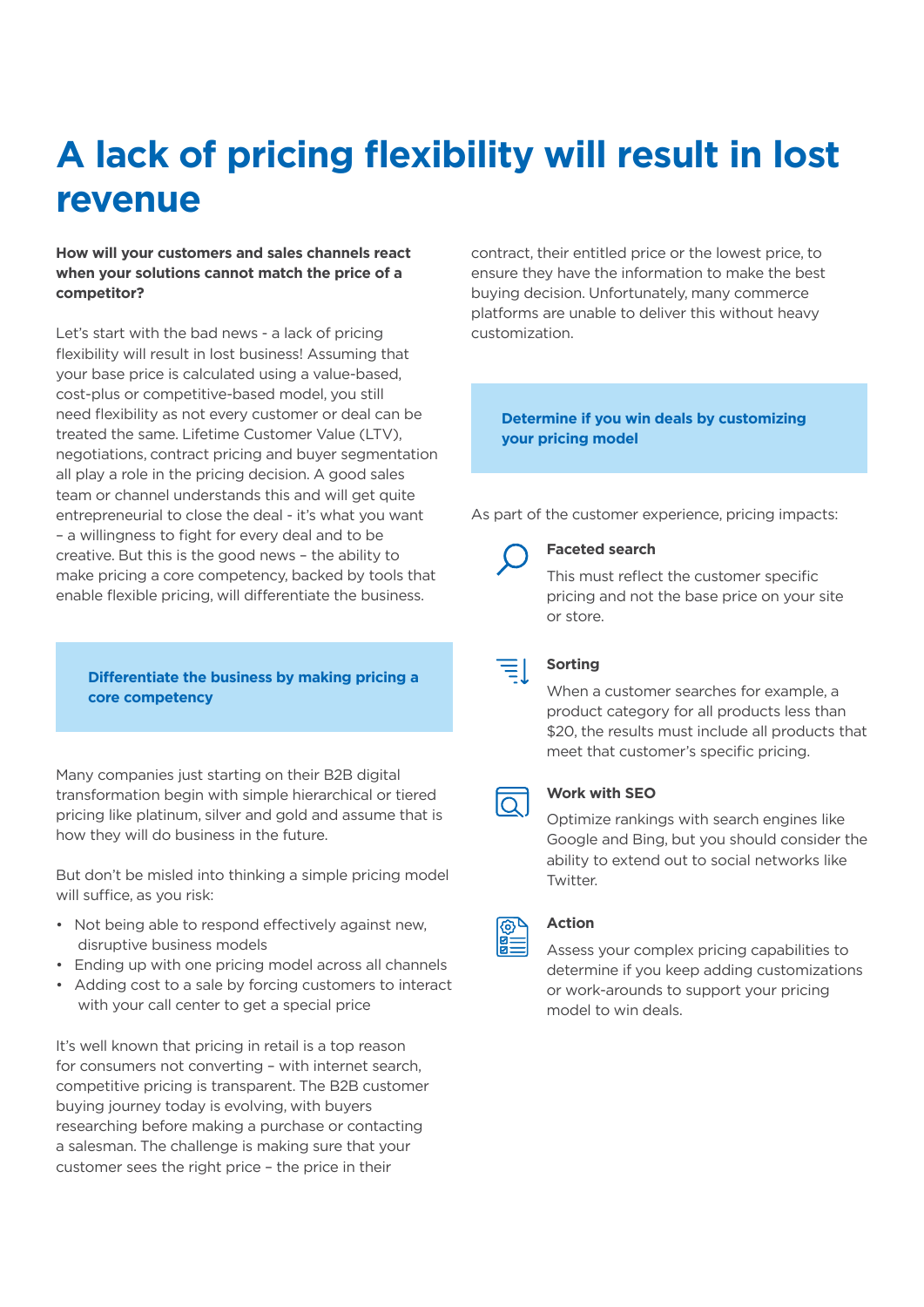## **A lack of pricing flexibility will result in lost revenue**

## **How will your customers and sales channels react when your solutions cannot match the price of a competitor?**

Let's start with the bad news - a lack of pricing flexibility will result in lost business! Assuming that your base price is calculated using a value-based, cost-plus or competitive-based model, you still need flexibility as not every customer or deal can be treated the same. Lifetime Customer Value (LTV), negotiations, contract pricing and buyer segmentation all play a role in the pricing decision. A good sales team or channel understands this and will get quite entrepreneurial to close the deal - it's what you want – a willingness to fight for every deal and to be creative. But this is the good news – the ability to make pricing a core competency, backed by tools that enable flexible pricing, will differentiate the business.

## **Differentiate the business by making pricing a core competency**

Many companies just starting on their B2B digital transformation begin with simple hierarchical or tiered pricing like platinum, silver and gold and assume that is how they will do business in the future.

But don't be misled into thinking a simple pricing model will suffice, as you risk:

- Not being able to respond effectively against new, disruptive business models
- Ending up with one pricing model across all channels
- Adding cost to a sale by forcing customers to interact with your call center to get a special price

It's well known that pricing in retail is a top reason for consumers not converting – with internet search, competitive pricing is transparent. The B2B customer buying journey today is evolving, with buyers researching before making a purchase or contacting a salesman. The challenge is making sure that your customer sees the right price – the price in their

contract, their entitled price or the lowest price, to ensure they have the information to make the best buying decision. Unfortunately, many commerce platforms are unable to deliver this without heavy customization.

**Determine if you win deals by customizing your pricing model**

As part of the customer experience, pricing impacts:



### **Faceted search**

This must reflect the customer specific pricing and not the base price on your site or store.

| ___ |  |  |
|-----|--|--|
|     |  |  |

## **Sorting**

When a customer searches for example, a product category for all products less than \$20, the results must include all products that meet that customer's specific pricing.



### **Work with SEO**

Optimize rankings with search engines like Google and Bing, but you should consider the ability to extend out to social networks like **Twitter** 



### **Action**

Assess your complex pricing capabilities to determine if you keep adding customizations or work-arounds to support your pricing model to win deals.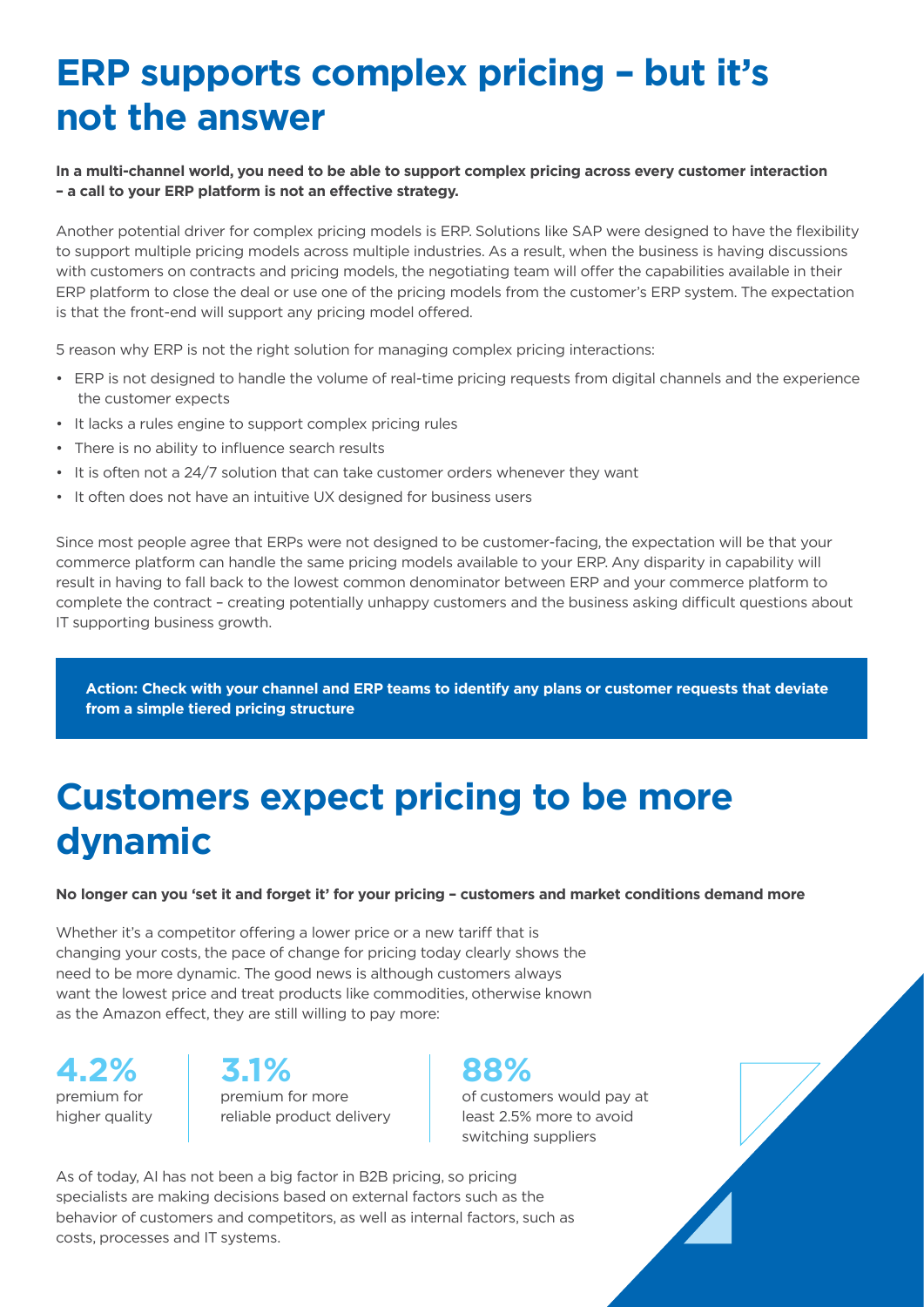## **ERP supports complex pricing – but it's not the answer**

## **In a multi-channel world, you need to be able to support complex pricing across every customer interaction – a call to your ERP platform is not an effective strategy.**

Another potential driver for complex pricing models is ERP. Solutions like SAP were designed to have the flexibility to support multiple pricing models across multiple industries. As a result, when the business is having discussions with customers on contracts and pricing models, the negotiating team will offer the capabilities available in their ERP platform to close the deal or use one of the pricing models from the customer's ERP system. The expectation is that the front-end will support any pricing model offered.

5 reason why ERP is not the right solution for managing complex pricing interactions:

- ERP is not designed to handle the volume of real-time pricing requests from digital channels and the experience the customer expects
- It lacks a rules engine to support complex pricing rules
- There is no ability to influence search results
- It is often not a 24/7 solution that can take customer orders whenever they want
- It often does not have an intuitive UX designed for business users

Since most people agree that ERPs were not designed to be customer-facing, the expectation will be that your commerce platform can handle the same pricing models available to your ERP. Any disparity in capability will result in having to fall back to the lowest common denominator between ERP and your commerce platform to complete the contract – creating potentially unhappy customers and the business asking difficult questions about IT supporting business growth.

**Action: Check with your channel and ERP teams to identify any plans or customer requests that deviate from a simple tiered pricing structure**

## **Customers expect pricing to be more dynamic**

**No longer can you 'set it and forget it' for your pricing – customers and market conditions demand more**

Whether it's a competitor offering a lower price or a new tariff that is changing your costs, the pace of change for pricing today clearly shows the need to be more dynamic. The good news is although customers always want the lowest price and treat products like commodities, otherwise known as the Amazon effect, they are still willing to pay more:

**4.2% 3.1% 88%** premium for higher quality

premium for more reliable product delivery

of customers would pay at least 2.5% more to avoid switching suppliers

As of today, AI has not been a big factor in B2B pricing, so pricing specialists are making decisions based on external factors such as the behavior of customers and competitors, as well as internal factors, such as costs, processes and IT systems.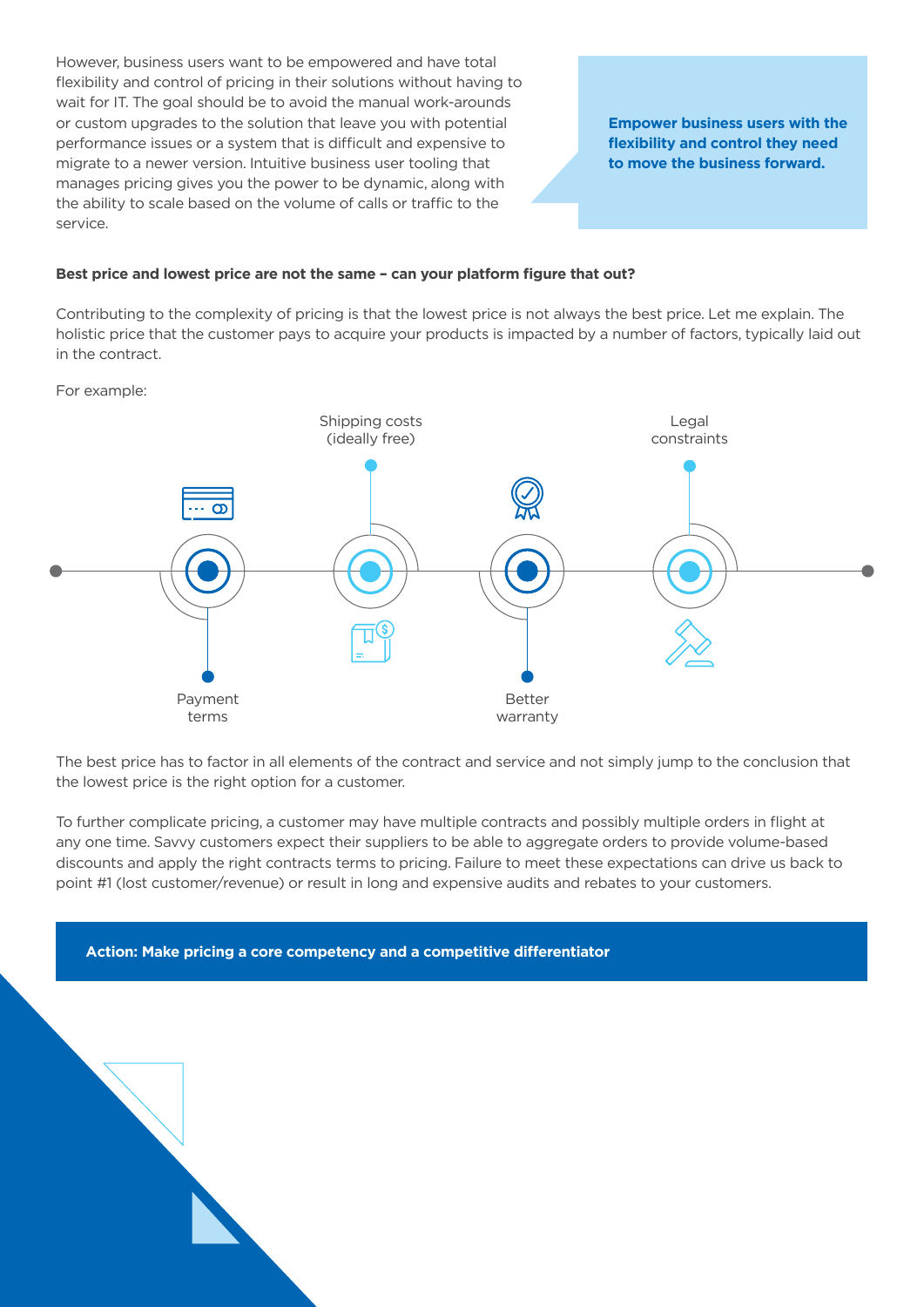However, business users want to be empowered and have total flexibility and control of pricing in their solutions without having to wait for IT. The goal should be to avoid the manual work-arounds or custom upgrades to the solution that leave you with potential performance issues or a system that is difficult and expensive to migrate to a newer version. Intuitive business user tooling that manages pricing gives you the power to be dynamic, along with the ability to scale based on the volume of calls or traffic to the service.

**Empower business users with the flexibility and control they need to move the business forward.**

#### **Best price and lowest price are not the same – can your platform figure that out?**

Contributing to the complexity of pricing is that the lowest price is not always the best price. Let me explain. The holistic price that the customer pays to acquire your products is impacted by a number of factors, typically laid out in the contract.

For example:



The best price has to factor in all elements of the contract and service and not simply jump to the conclusion that the lowest price is the right option for a customer.

To further complicate pricing, a customer may have multiple contracts and possibly multiple orders in flight at any one time. Savvy customers expect their suppliers to be able to aggregate orders to provide volume-based discounts and apply the right contracts terms to pricing. Failure to meet these expectations can drive us back to point #1 (lost customer/revenue) or result in long and expensive audits and rebates to your customers.

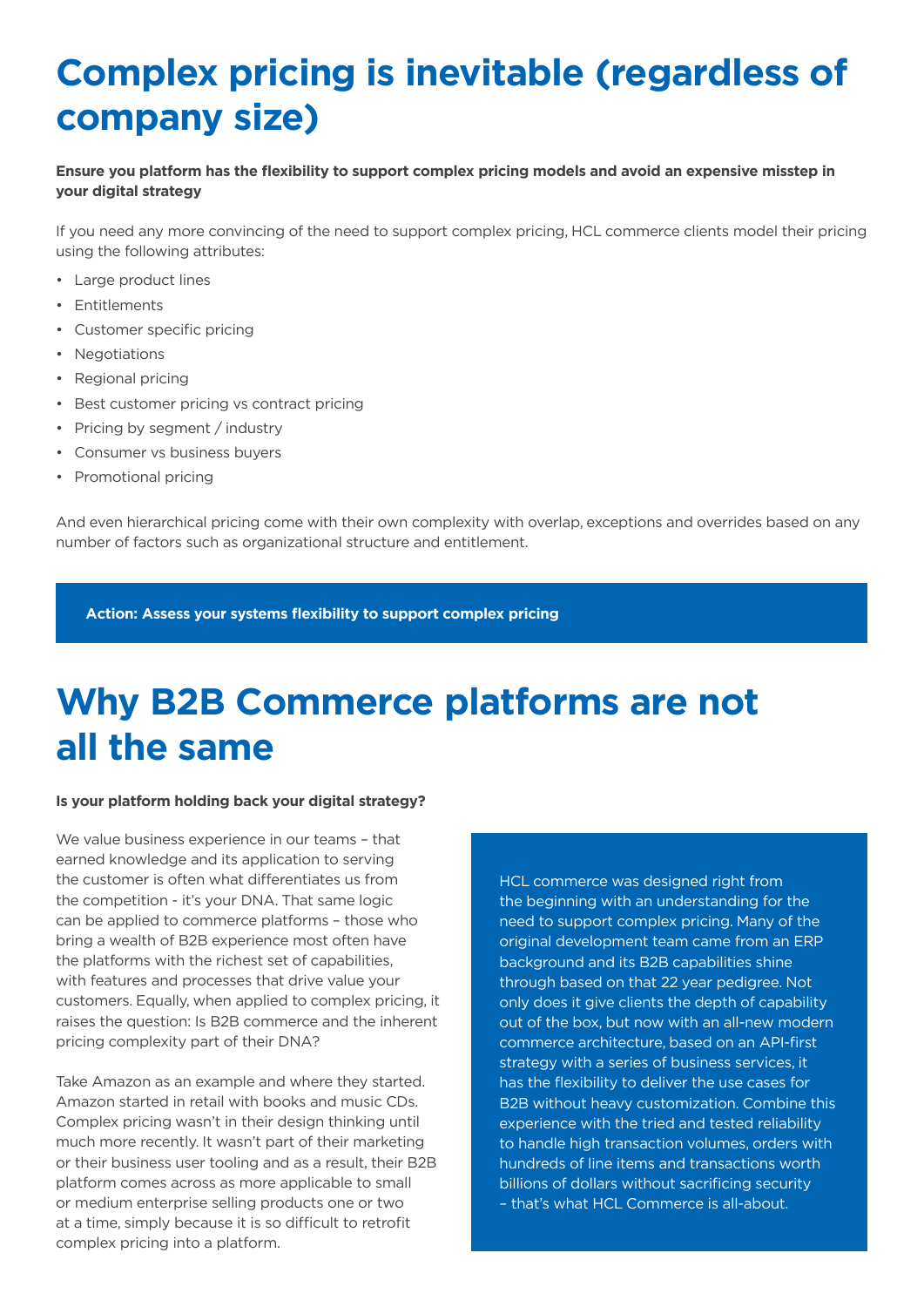## **Complex pricing is inevitable (regardless of company size)**

## **Ensure you platform has the flexibility to support complex pricing models and avoid an expensive misstep in your digital strategy**

If you need any more convincing of the need to support complex pricing, HCL commerce clients model their pricing using the following attributes:

- Large product lines
- Entitlements
- Customer specific pricing
- Negotiations
- Regional pricing
- Best customer pricing vs contract pricing
- Pricing by segment / industry
- Consumer vs business buyers
- Promotional pricing

And even hierarchical pricing come with their own complexity with overlap, exceptions and overrides based on any number of factors such as organizational structure and entitlement.

**Action: Assess your systems flexibility to support complex pricing**

## **Why B2B Commerce platforms are not all the same**

### **Is your platform holding back your digital strategy?**

We value business experience in our teams – that earned knowledge and its application to serving the customer is often what differentiates us from the competition - it's your DNA. That same logic can be applied to commerce platforms – those who bring a wealth of B2B experience most often have the platforms with the richest set of capabilities, with features and processes that drive value your customers. Equally, when applied to complex pricing, it raises the question: Is B2B commerce and the inherent pricing complexity part of their DNA?

Take Amazon as an example and where they started. Amazon started in retail with books and music CDs. Complex pricing wasn't in their design thinking until much more recently. It wasn't part of their marketing or their business user tooling and as a result, their B2B platform comes across as more applicable to small or medium enterprise selling products one or two at a time, simply because it is so difficult to retrofit complex pricing into a platform.

HCL commerce was designed right from the beginning with an understanding for the need to support complex pricing. Many of the original development team came from an ERP background and its B2B capabilities shine through based on that 22 year pedigree. Not only does it give clients the depth of capability out of the box, but now with an all-new modern commerce architecture, based on an API-first strategy with a series of business services, it has the flexibility to deliver the use cases for B2B without heavy customization. Combine this experience with the tried and tested reliability to handle high transaction volumes, orders with hundreds of line items and transactions worth billions of dollars without sacrificing security – that's what HCL Commerce is all-about.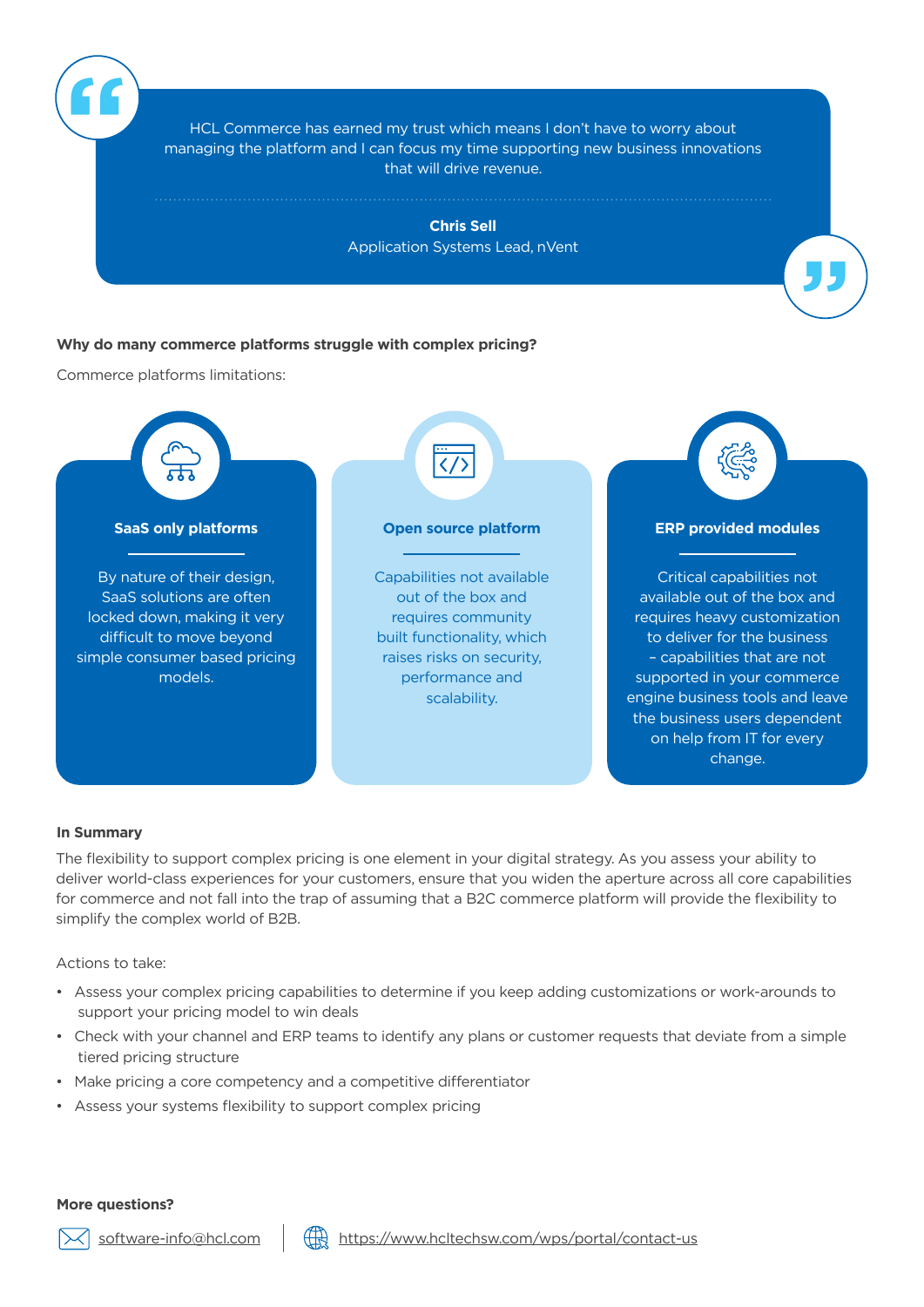HCL Commerce has earned my trust which means I don't have to worry about managing the platform and I can focus my time supporting new business innovations that will drive revenue.

> **Chris Sell** Application Systems Lead, nVent

> > **"**

## **Why do many commerce platforms struggle with complex pricing?**

Commerce platforms limitations:

**"**



### **In Summary**

The flexibility to support complex pricing is one element in your digital strategy. As you assess your ability to deliver world-class experiences for your customers, ensure that you widen the aperture across all core capabilities for commerce and not fall into the trap of assuming that a B2C commerce platform will provide the flexibility to simplify the complex world of B2B.

Actions to take:

- Assess your complex pricing capabilities to determine if you keep adding customizations or work-arounds to support your pricing model to win deals
- Check with your channel and ERP teams to identify any plans or customer requests that deviate from a simple tiered pricing structure
- Make pricing a core competency and a competitive differentiator
- Assess your systems flexibility to support complex pricing

**More questions?**